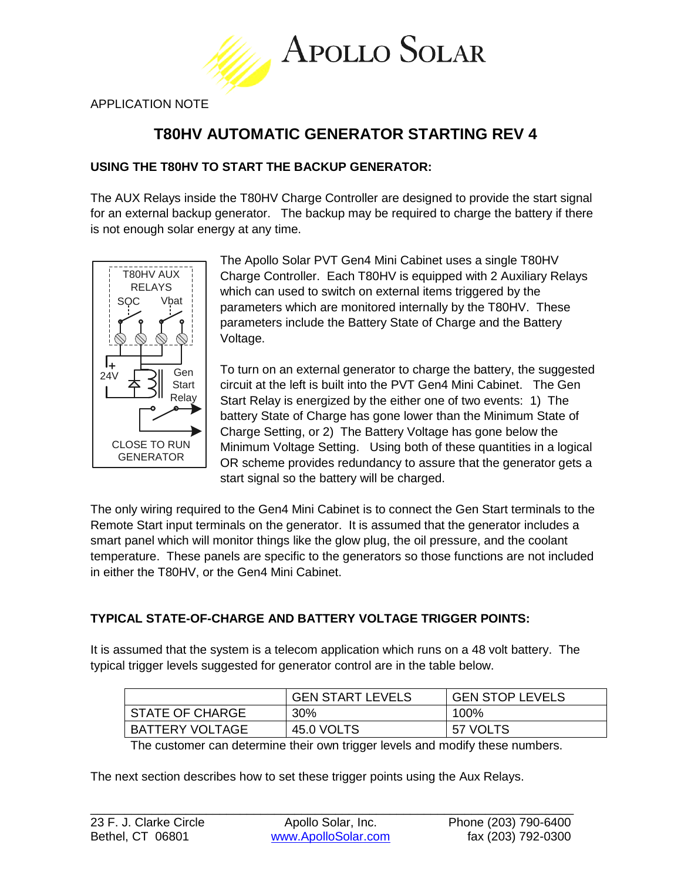

APPLICATION NOTE

# **T80HV AUTOMATIC GENERATOR STARTING REV 4**

# **USING THE T80HV TO START THE BACKUP GENERATOR:**

The AUX Relays inside the T80HV Charge Controller are designed to provide the start signal for an external backup generator. The backup may be required to charge the battery if there is not enough solar energy at any time.



The Apollo Solar PVT Gen4 Mini Cabinet uses a single T80HV Charge Controller. Each T80HV is equipped with 2 Auxiliary Relays which can used to switch on external items triggered by the parameters which are monitored internally by the T80HV. These parameters include the Battery State of Charge and the Battery Voltage.

To turn on an external generator to charge the battery, the suggested circuit at the left is built into the PVT Gen4 Mini Cabinet. The Gen Start Relay is energized by the either one of two events: 1) The battery State of Charge has gone lower than the Minimum State of Charge Setting, or 2) The Battery Voltage has gone below the Minimum Voltage Setting. Using both of these quantities in a logical OR scheme provides redundancy to assure that the generator gets a start signal so the battery will be charged.

The only wiring required to the Gen4 Mini Cabinet is to connect the Gen Start terminals to the Remote Start input terminals on the generator. It is assumed that the generator includes a smart panel which will monitor things like the glow plug, the oil pressure, and the coolant temperature. These panels are specific to the generators so those functions are not included in either the T80HV, or the Gen4 Mini Cabinet.

# **TYPICAL STATE-OF-CHARGE AND BATTERY VOLTAGE TRIGGER POINTS:**

It is assumed that the system is a telecom application which runs on a 48 volt battery. The typical trigger levels suggested for generator control are in the table below.

|                        | <b>GEN START LEVELS</b> | <b>GEN STOP LEVELS</b> |
|------------------------|-------------------------|------------------------|
| <b>STATE OF CHARGE</b> | 30%                     | 100%                   |
| <b>BATTERY VOLTAGE</b> | 45.0 VOLTS              | 57 VOLTS               |

The customer can determine their own trigger levels and modify these numbers.

The next section describes how to set these trigger points using the Aux Relays.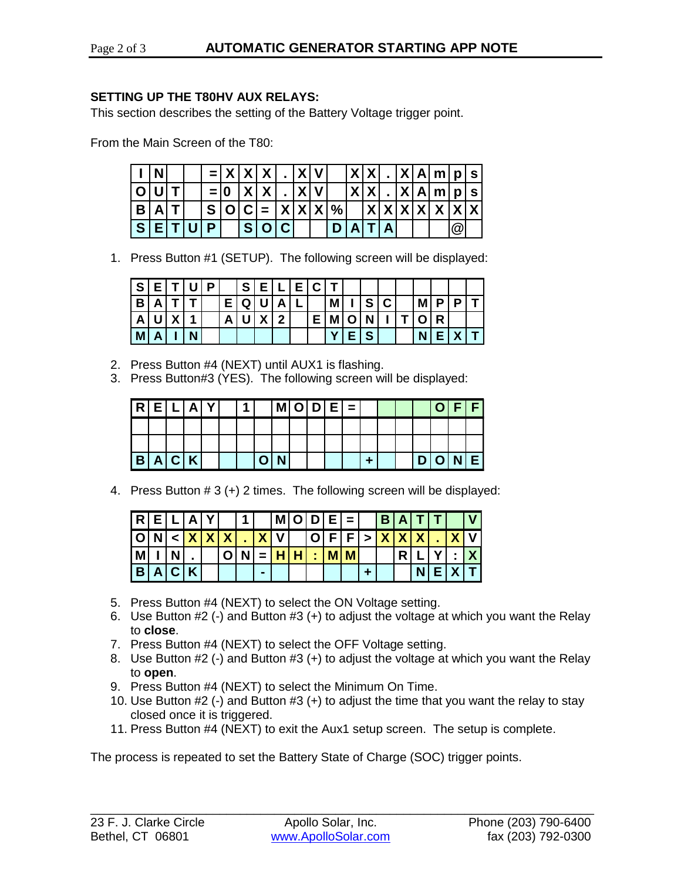## **SETTING UP THE T80HV AUX RELAYS:**

This section describes the setting of the Battery Voltage trigger point.

From the Main Screen of the T80:

|          |  |  | $=  X X X$    |     |            | <u>IXIV</u> |                      | X X |  |  | X A m p s'    |             |  |
|----------|--|--|---------------|-----|------------|-------------|----------------------|-----|--|--|---------------|-------------|--|
|          |  |  | $=$ $\vert$ 0 | X X |            | X V         |                      | X X |  |  | X A m p s'    |             |  |
| B        |  |  |               |     |            |             | $S[O C  =  X X X $ % |     |  |  | X X X X X X X |             |  |
| <b>S</b> |  |  |               |     | <b>SIO</b> |             |                      |     |  |  |               | $\circledR$ |  |

1. Press Button #1 (SETUP). The following screen will be displayed:

| ı S |  | D |   | S |        |   | <b>EICI</b> |   |   |   |    |     |  |
|-----|--|---|---|---|--------|---|-------------|---|---|---|----|-----|--|
| B   |  |   |   | Q |        | A |             | M | S | C | M  |     |  |
| А   |  |   | A |   | Y<br>Λ | າ | Е.          | M |   |   | 10 | IR. |  |
| M   |  |   |   |   |        |   |             |   | S |   | N. |     |  |

- 2. Press Button #4 (NEXT) until AUX1 is flashing.
- 3. Press Button#3 (YES). The following screen will be displayed:

| l R      | Ε |                             | A | ν | 4 |   |   | $M[O D E]=$ |  |  |  |   | C |   |  |
|----------|---|-----------------------------|---|---|---|---|---|-------------|--|--|--|---|---|---|--|
|          |   |                             |   |   |   |   |   |             |  |  |  |   |   |   |  |
|          |   |                             |   |   |   |   |   |             |  |  |  |   |   |   |  |
| <b>B</b> | Α | $\left( \mathbf{C} \right)$ | K |   |   | n | N |             |  |  |  | D | O | N |  |

4. Press Button # 3 (+) 2 times. The following screen will be displayed:

| R   |       | L[A] |  |    | $\vert$ 1 $\vert$ |   | $ M O D E = $ |  |                 | B A T |   |  |  |
|-----|-------|------|--|----|-------------------|---|---------------|--|-----------------|-------|---|--|--|
|     |       |      |  | XX |                   |   | <b>VIXVI</b>  |  |                 | X X X |   |  |  |
| M   |       | N    |  |    | N                 |   |               |  | $\therefore$ MM |       | R |  |  |
| l B | A C K |      |  |    |                   | - |               |  |                 |       |   |  |  |

- 5. Press Button #4 (NEXT) to select the ON Voltage setting.
- 6. Use Button #2 (-) and Button #3 (+) to adjust the voltage at which you want the Relay to **close**.
- 7. Press Button #4 (NEXT) to select the OFF Voltage setting.
- 8. Use Button #2 (-) and Button #3 (+) to adjust the voltage at which you want the Relay to **open**.
- 9. Press Button #4 (NEXT) to select the Minimum On Time.
- 10. Use Button #2 (-) and Button #3 (+) to adjust the time that you want the relay to stay closed once it is triggered.
- 11. Press Button #4 (NEXT) to exit the Aux1 setup screen. The setup is complete.

The process is repeated to set the Battery State of Charge (SOC) trigger points.

\_\_\_\_\_\_\_\_\_\_\_\_\_\_\_\_\_\_\_\_\_\_\_\_\_\_\_\_\_\_\_\_\_\_\_\_\_\_\_\_\_\_\_\_\_\_\_\_\_\_\_\_\_\_\_\_\_\_\_\_\_\_\_\_\_\_\_\_\_\_\_\_\_\_